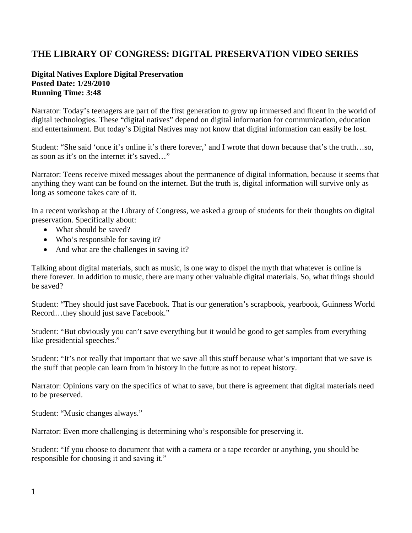## **THE LIBRARY OF CONGRESS: DIGITAL PRESERVATION VIDEO SERIES**

## **Digital Natives Explore Digital Preservation Posted Date: 1/29/2010 Running Time: 3:48**

Narrator: Today's teenagers are part of the first generation to grow up immersed and fluent in the world of digital technologies. These "digital natives" depend on digital information for communication, education and entertainment. But today's Digital Natives may not know that digital information can easily be lost.

Student: "She said 'once it's online it's there forever,' and I wrote that down because that's the truth…so, as soon as it's on the internet it's saved…"

Narrator: Teens receive mixed messages about the permanence of digital information, because it seems that anything they want can be found on the internet. But the truth is, digital information will survive only as long as someone takes care of it.

In a recent workshop at the Library of Congress, we asked a group of students for their thoughts on digital preservation. Specifically about:

- What should be saved?
- Who's responsible for saving it?
- And what are the challenges in saving it?

Talking about digital materials, such as music, is one way to dispel the myth that whatever is online is there forever. In addition to music, there are many other valuable digital materials. So, what things should be saved?

Student: "They should just save Facebook. That is our generation's scrapbook, yearbook, Guinness World Record…they should just save Facebook."

Student: "But obviously you can't save everything but it would be good to get samples from everything like presidential speeches."

Student: "It's not really that important that we save all this stuff because what's important that we save is the stuff that people can learn from in history in the future as not to repeat history.

Narrator: Opinions vary on the specifics of what to save, but there is agreement that digital materials need to be preserved.

Student: "Music changes always."

Narrator: Even more challenging is determining who's responsible for preserving it.

Student: "If you choose to document that with a camera or a tape recorder or anything, you should be responsible for choosing it and saving it."